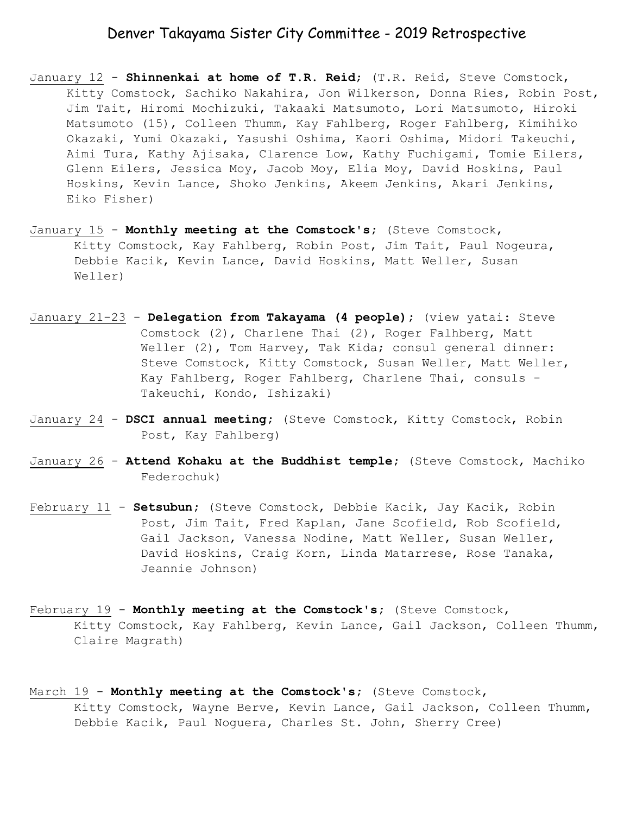### Denver Takayama Sister City Committee - 2019 Retrospective

- January 12 **Shinnenkai at home of T.R. Reid**; (T.R. Reid, Steve Comstock, Kitty Comstock, Sachiko Nakahira, Jon Wilkerson, Donna Ries, Robin Post, Jim Tait, Hiromi Mochizuki, Takaaki Matsumoto, Lori Matsumoto, Hiroki Matsumoto (15), Colleen Thumm, Kay Fahlberg, Roger Fahlberg, Kimihiko Okazaki, Yumi Okazaki, Yasushi Oshima, Kaori Oshima, Midori Takeuchi, Aimi Tura, Kathy Ajisaka, Clarence Low, Kathy Fuchigami, Tomie Eilers, Glenn Eilers, Jessica Moy, Jacob Moy, Elia Moy, David Hoskins, Paul Hoskins, Kevin Lance, Shoko Jenkins, Akeem Jenkins, Akari Jenkins, Eiko Fisher)
- January 15 **Monthly meeting at the Comstock's;** (Steve Comstock, Kitty Comstock, Kay Fahlberg, Robin Post, Jim Tait, Paul Nogeura, Debbie Kacik, Kevin Lance, David Hoskins, Matt Weller, Susan Weller)
- January 21-23 **Delegation from Takayama (4 people);** (view yatai: Steve Comstock (2), Charlene Thai (2), Roger Falhberg, Matt Weller (2), Tom Harvey, Tak Kida; consul general dinner: Steve Comstock, Kitty Comstock, Susan Weller, Matt Weller, Kay Fahlberg, Roger Fahlberg, Charlene Thai, consuls - Takeuchi, Kondo, Ishizaki)
- January 24 **DSCI annual meeting;** (Steve Comstock, Kitty Comstock, Robin Post, Kay Fahlberg)
- January 26 **Attend Kohaku at the Buddhist temple;** (Steve Comstock, Machiko Federochuk)
- February 11 **Setsubun;** (Steve Comstock, Debbie Kacik, Jay Kacik, Robin Post, Jim Tait, Fred Kaplan, Jane Scofield, Rob Scofield, Gail Jackson, Vanessa Nodine, Matt Weller, Susan Weller, David Hoskins, Craig Korn, Linda Matarrese, Rose Tanaka, Jeannie Johnson)
- February 19 **Monthly meeting at the Comstock's;** (Steve Comstock, Kitty Comstock, Kay Fahlberg, Kevin Lance, Gail Jackson, Colleen Thumm, Claire Magrath)
- March 19 **Monthly meeting at the Comstock's;** (Steve Comstock, Kitty Comstock, Wayne Berve, Kevin Lance, Gail Jackson, Colleen Thumm, Debbie Kacik, Paul Noguera, Charles St. John, Sherry Cree)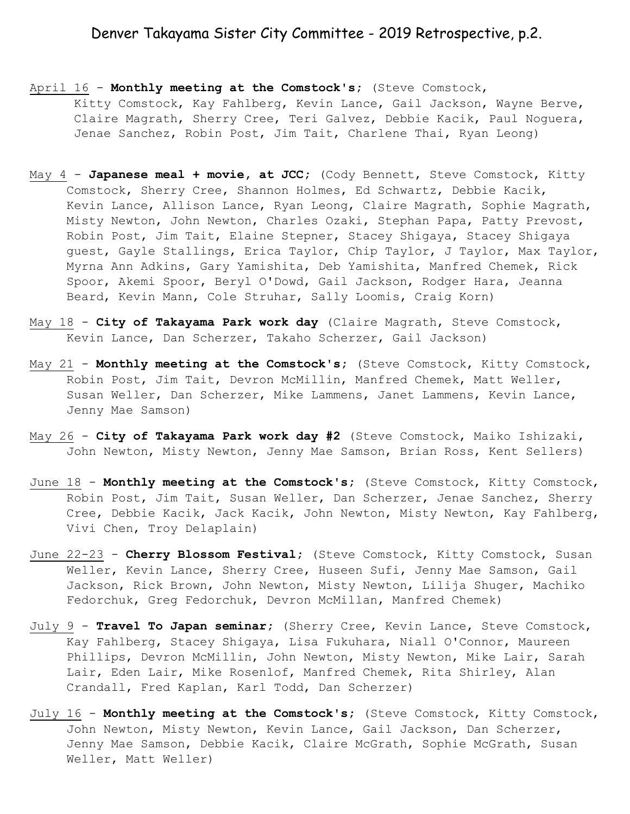# Denver Takayama Sister City Committee - 2019 Retrospective, p.2.

- April 16 **Monthly meeting at the Comstock's;** (Steve Comstock, Kitty Comstock, Kay Fahlberg, Kevin Lance, Gail Jackson, Wayne Berve, Claire Magrath, Sherry Cree, Teri Galvez, Debbie Kacik, Paul Noguera, Jenae Sanchez, Robin Post, Jim Tait, Charlene Thai, Ryan Leong)
- May 4 **Japanese meal + movie, at JCC;** (Cody Bennett, Steve Comstock, Kitty Comstock, Sherry Cree, Shannon Holmes, Ed Schwartz, Debbie Kacik, Kevin Lance, Allison Lance, Ryan Leong, Claire Magrath, Sophie Magrath, Misty Newton, John Newton, Charles Ozaki, Stephan Papa, Patty Prevost, Robin Post, Jim Tait, Elaine Stepner, Stacey Shigaya, Stacey Shigaya guest, Gayle Stallings, Erica Taylor, Chip Taylor, J Taylor, Max Taylor, Myrna Ann Adkins, Gary Yamishita, Deb Yamishita, Manfred Chemek, Rick Spoor, Akemi Spoor, Beryl O'Dowd, Gail Jackson, Rodger Hara, Jeanna Beard, Kevin Mann, Cole Struhar, Sally Loomis, Craig Korn)
- May 18 **City of Takayama Park work day** (Claire Magrath, Steve Comstock, Kevin Lance, Dan Scherzer, Takaho Scherzer, Gail Jackson)
- May 21 **Monthly meeting at the Comstock's;** (Steve Comstock, Kitty Comstock, Robin Post, Jim Tait, Devron McMillin, Manfred Chemek, Matt Weller, Susan Weller, Dan Scherzer, Mike Lammens, Janet Lammens, Kevin Lance, Jenny Mae Samson)
- May 26 **City of Takayama Park work day #2** (Steve Comstock, Maiko Ishizaki, John Newton, Misty Newton, Jenny Mae Samson, Brian Ross, Kent Sellers)
- June 18 **Monthly meeting at the Comstock's;** (Steve Comstock, Kitty Comstock, Robin Post, Jim Tait, Susan Weller, Dan Scherzer, Jenae Sanchez, Sherry Cree, Debbie Kacik, Jack Kacik, John Newton, Misty Newton, Kay Fahlberg, Vivi Chen, Troy Delaplain)
- June 22-23 **Cherry Blossom Festival;** (Steve Comstock, Kitty Comstock, Susan Weller, Kevin Lance, Sherry Cree, Huseen Sufi, Jenny Mae Samson, Gail Jackson, Rick Brown, John Newton, Misty Newton, Lilija Shuger, Machiko Fedorchuk, Greg Fedorchuk, Devron McMillan, Manfred Chemek)
- July 9 **Travel To Japan seminar;** (Sherry Cree, Kevin Lance, Steve Comstock, Kay Fahlberg, Stacey Shigaya, Lisa Fukuhara, Niall O'Connor, Maureen Phillips, Devron McMillin, John Newton, Misty Newton, Mike Lair, Sarah Lair, Eden Lair, Mike Rosenlof, Manfred Chemek, Rita Shirley, Alan Crandall, Fred Kaplan, Karl Todd, Dan Scherzer)
- July 16 **Monthly meeting at the Comstock's;** (Steve Comstock, Kitty Comstock, John Newton, Misty Newton, Kevin Lance, Gail Jackson, Dan Scherzer, Jenny Mae Samson, Debbie Kacik, Claire McGrath, Sophie McGrath, Susan Weller, Matt Weller)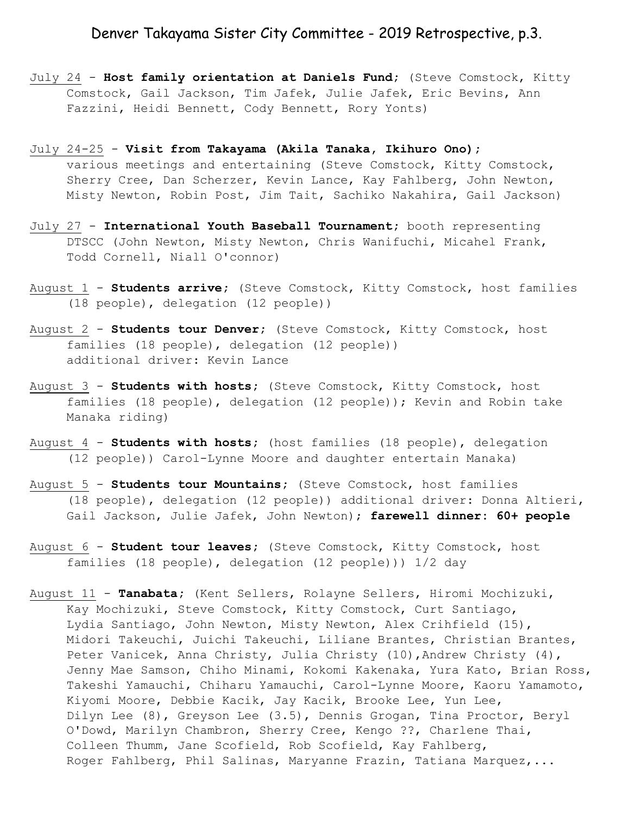## Denver Takayama Sister City Committee - 2019 Retrospective, p.3.

- July 24 **Host family orientation at Daniels Fund;** (Steve Comstock, Kitty Comstock, Gail Jackson, Tim Jafek, Julie Jafek, Eric Bevins, Ann Fazzini, Heidi Bennett, Cody Bennett, Rory Yonts)
- July 24-25 **Visit from Takayama (Akila Tanaka, Ikihuro Ono);** various meetings and entertaining (Steve Comstock, Kitty Comstock, Sherry Cree, Dan Scherzer, Kevin Lance, Kay Fahlberg, John Newton, Misty Newton, Robin Post, Jim Tait, Sachiko Nakahira, Gail Jackson)
- July 27 **International Youth Baseball Tournament;** booth representing DTSCC (John Newton, Misty Newton, Chris Wanifuchi, Micahel Frank, Todd Cornell, Niall O'connor)
- August 1 **Students arrive;** (Steve Comstock, Kitty Comstock, host families (18 people), delegation (12 people))
- August 2 **Students tour Denver;** (Steve Comstock, Kitty Comstock, host families (18 people), delegation (12 people)) additional driver: Kevin Lance
- August 3 **Students with hosts;** (Steve Comstock, Kitty Comstock, host families (18 people), delegation (12 people)); Kevin and Robin take Manaka riding)
- August 4 **Students with hosts;** (host families (18 people), delegation (12 people)) Carol-Lynne Moore and daughter entertain Manaka)
- August 5 **Students tour Mountains;** (Steve Comstock, host families (18 people), delegation (12 people)) additional driver: Donna Altieri, Gail Jackson, Julie Jafek, John Newton); **farewell dinner: 60+ people**
- August 6 **Student tour leaves;** (Steve Comstock, Kitty Comstock, host families (18 people), delegation (12 people))) 1/2 day
- August 11 **Tanabata;** (Kent Sellers, Rolayne Sellers, Hiromi Mochizuki, Kay Mochizuki, Steve Comstock, Kitty Comstock, Curt Santiago, Lydia Santiago, John Newton, Misty Newton, Alex Crihfield (15), Midori Takeuchi, Juichi Takeuchi, Liliane Brantes, Christian Brantes, Peter Vanicek, Anna Christy, Julia Christy (10), Andrew Christy (4), Jenny Mae Samson, Chiho Minami, Kokomi Kakenaka, Yura Kato, Brian Ross, Takeshi Yamauchi, Chiharu Yamauchi, Carol-Lynne Moore, Kaoru Yamamoto, Kiyomi Moore, Debbie Kacik, Jay Kacik, Brooke Lee, Yun Lee, Dilyn Lee (8), Greyson Lee (3.5), Dennis Grogan, Tina Proctor, Beryl O'Dowd, Marilyn Chambron, Sherry Cree, Kengo ??, Charlene Thai, Colleen Thumm, Jane Scofield, Rob Scofield, Kay Fahlberg, Roger Fahlberg, Phil Salinas, Maryanne Frazin, Tatiana Marquez,...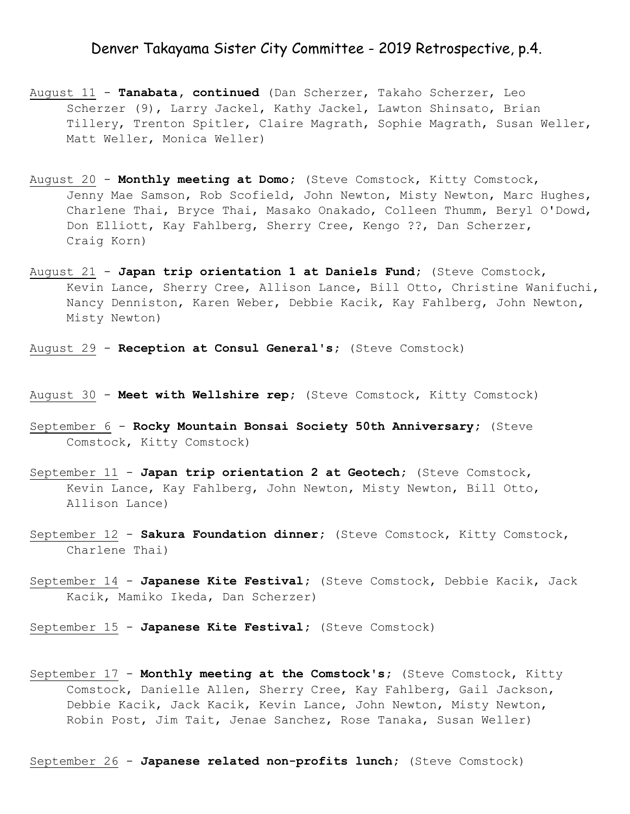#### Denver Takayama Sister City Committee - 2019 Retrospective, p.4.

- August 11 **Tanabata, continued** (Dan Scherzer, Takaho Scherzer, Leo Scherzer (9), Larry Jackel, Kathy Jackel, Lawton Shinsato, Brian Tillery, Trenton Spitler, Claire Magrath, Sophie Magrath, Susan Weller, Matt Weller, Monica Weller)
- August 20 **Monthly meeting at Domo;** (Steve Comstock, Kitty Comstock, Jenny Mae Samson, Rob Scofield, John Newton, Misty Newton, Marc Hughes, Charlene Thai, Bryce Thai, Masako Onakado, Colleen Thumm, Beryl O'Dowd, Don Elliott, Kay Fahlberg, Sherry Cree, Kengo ??, Dan Scherzer, Craig Korn)
- August 21 **Japan trip orientation 1 at Daniels Fund;** (Steve Comstock, Kevin Lance, Sherry Cree, Allison Lance, Bill Otto, Christine Wanifuchi, Nancy Denniston, Karen Weber, Debbie Kacik, Kay Fahlberg, John Newton, Misty Newton)
- August 29 **Reception at Consul General's;** (Steve Comstock)
- August 30 **Meet with Wellshire rep;** (Steve Comstock, Kitty Comstock)
- September 6 **Rocky Mountain Bonsai Society 50th Anniversary;** (Steve Comstock, Kitty Comstock)
- September 11 **Japan trip orientation 2 at Geotech;** (Steve Comstock, Kevin Lance, Kay Fahlberg, John Newton, Misty Newton, Bill Otto, Allison Lance)
- September 12 **Sakura Foundation dinner;** (Steve Comstock, Kitty Comstock, Charlene Thai)
- September 14 **Japanese Kite Festival;** (Steve Comstock, Debbie Kacik, Jack Kacik, Mamiko Ikeda, Dan Scherzer)
- September 15 **Japanese Kite Festival;** (Steve Comstock)
- September 17 **Monthly meeting at the Comstock's;** (Steve Comstock, Kitty Comstock, Danielle Allen, Sherry Cree, Kay Fahlberg, Gail Jackson, Debbie Kacik, Jack Kacik, Kevin Lance, John Newton, Misty Newton, Robin Post, Jim Tait, Jenae Sanchez, Rose Tanaka, Susan Weller)

September 26 - **Japanese related non-profits lunch;** (Steve Comstock)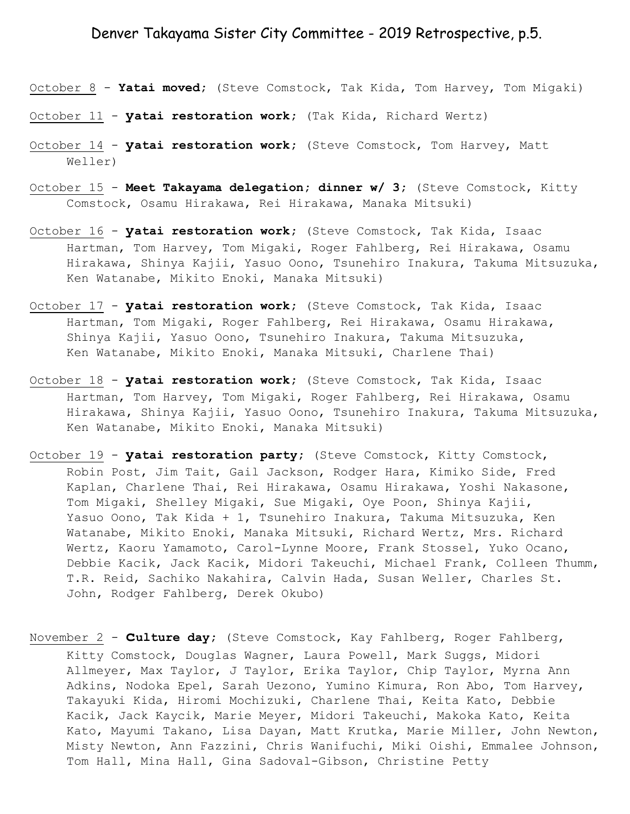## Denver Takayama Sister City Committee - 2019 Retrospective, p.5.

- October 8 **Yatai moved;** (Steve Comstock, Tak Kida, Tom Harvey, Tom Migaki)
- October 11 **yatai restoration work;** (Tak Kida, Richard Wertz)
- October 14 **yatai restoration work;** (Steve Comstock, Tom Harvey, Matt Weller)
- October 15 **Meet Takayama delegation; dinner w/ 3;** (Steve Comstock, Kitty Comstock, Osamu Hirakawa, Rei Hirakawa, Manaka Mitsuki)
- October 16 **yatai restoration work;** (Steve Comstock, Tak Kida, Isaac Hartman, Tom Harvey, Tom Migaki, Roger Fahlberg, Rei Hirakawa, Osamu Hirakawa, Shinya Kajii, Yasuo Oono, Tsunehiro Inakura, Takuma Mitsuzuka, Ken Watanabe, Mikito Enoki, Manaka Mitsuki)
- October 17 **yatai restoration work;** (Steve Comstock, Tak Kida, Isaac Hartman, Tom Migaki, Roger Fahlberg, Rei Hirakawa, Osamu Hirakawa, Shinya Kajii, Yasuo Oono, Tsunehiro Inakura, Takuma Mitsuzuka, Ken Watanabe, Mikito Enoki, Manaka Mitsuki, Charlene Thai)
- October 18 **yatai restoration work;** (Steve Comstock, Tak Kida, Isaac Hartman, Tom Harvey, Tom Migaki, Roger Fahlberg, Rei Hirakawa, Osamu Hirakawa, Shinya Kajii, Yasuo Oono, Tsunehiro Inakura, Takuma Mitsuzuka, Ken Watanabe, Mikito Enoki, Manaka Mitsuki)
- October 19 **yatai restoration party;** (Steve Comstock, Kitty Comstock, Robin Post, Jim Tait, Gail Jackson, Rodger Hara, Kimiko Side, Fred Kaplan, Charlene Thai, Rei Hirakawa, Osamu Hirakawa, Yoshi Nakasone, Tom Migaki, Shelley Migaki, Sue Migaki, Oye Poon, Shinya Kajii, Yasuo Oono, Tak Kida + 1, Tsunehiro Inakura, Takuma Mitsuzuka, Ken Watanabe, Mikito Enoki, Manaka Mitsuki, Richard Wertz, Mrs. Richard Wertz, Kaoru Yamamoto, Carol-Lynne Moore, Frank Stossel, Yuko Ocano, Debbie Kacik, Jack Kacik, Midori Takeuchi, Michael Frank, Colleen Thumm, T.R. Reid, Sachiko Nakahira, Calvin Hada, Susan Weller, Charles St. John, Rodger Fahlberg, Derek Okubo)
- November 2 **culture day;** (Steve Comstock, Kay Fahlberg, Roger Fahlberg, Kitty Comstock, Douglas Wagner, Laura Powell, Mark Suggs, Midori Allmeyer, Max Taylor, J Taylor, Erika Taylor, Chip Taylor, Myrna Ann Adkins, Nodoka Epel, Sarah Uezono, Yumino Kimura, Ron Abo, Tom Harvey, Takayuki Kida, Hiromi Mochizuki, Charlene Thai, Keita Kato, Debbie Kacik, Jack Kaycik, Marie Meyer, Midori Takeuchi, Makoka Kato, Keita Kato, Mayumi Takano, Lisa Dayan, Matt Krutka, Marie Miller, John Newton, Misty Newton, Ann Fazzini, Chris Wanifuchi, Miki Oishi, Emmalee Johnson, Tom Hall, Mina Hall, Gina Sadoval-Gibson, Christine Petty